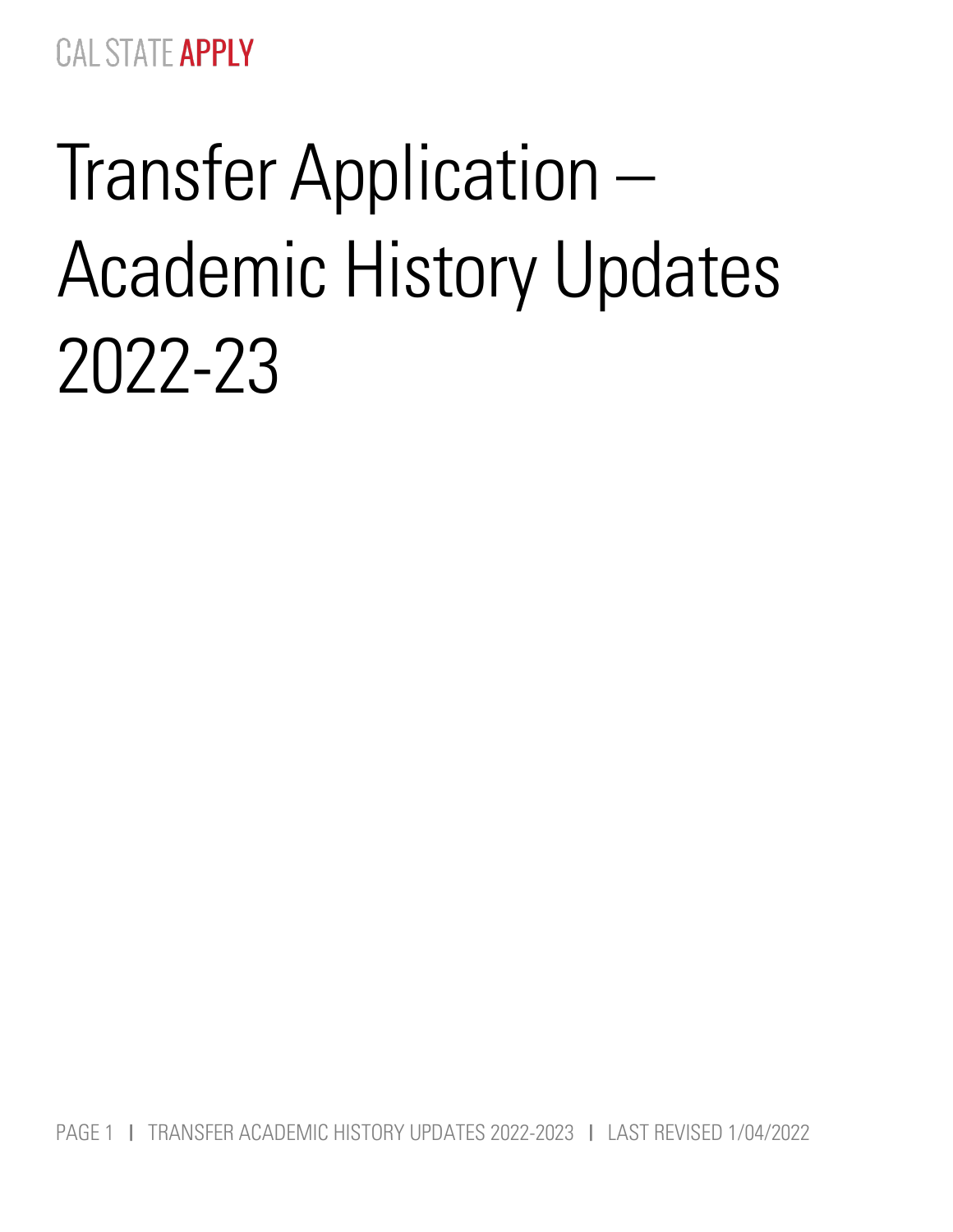# Transfer Application – Academic History Updates 2022-23

PAGE 1 I TRANSFER ACADEMIC HISTORY UPDATES 2022-2023 I LAST REVISED 1/04/2022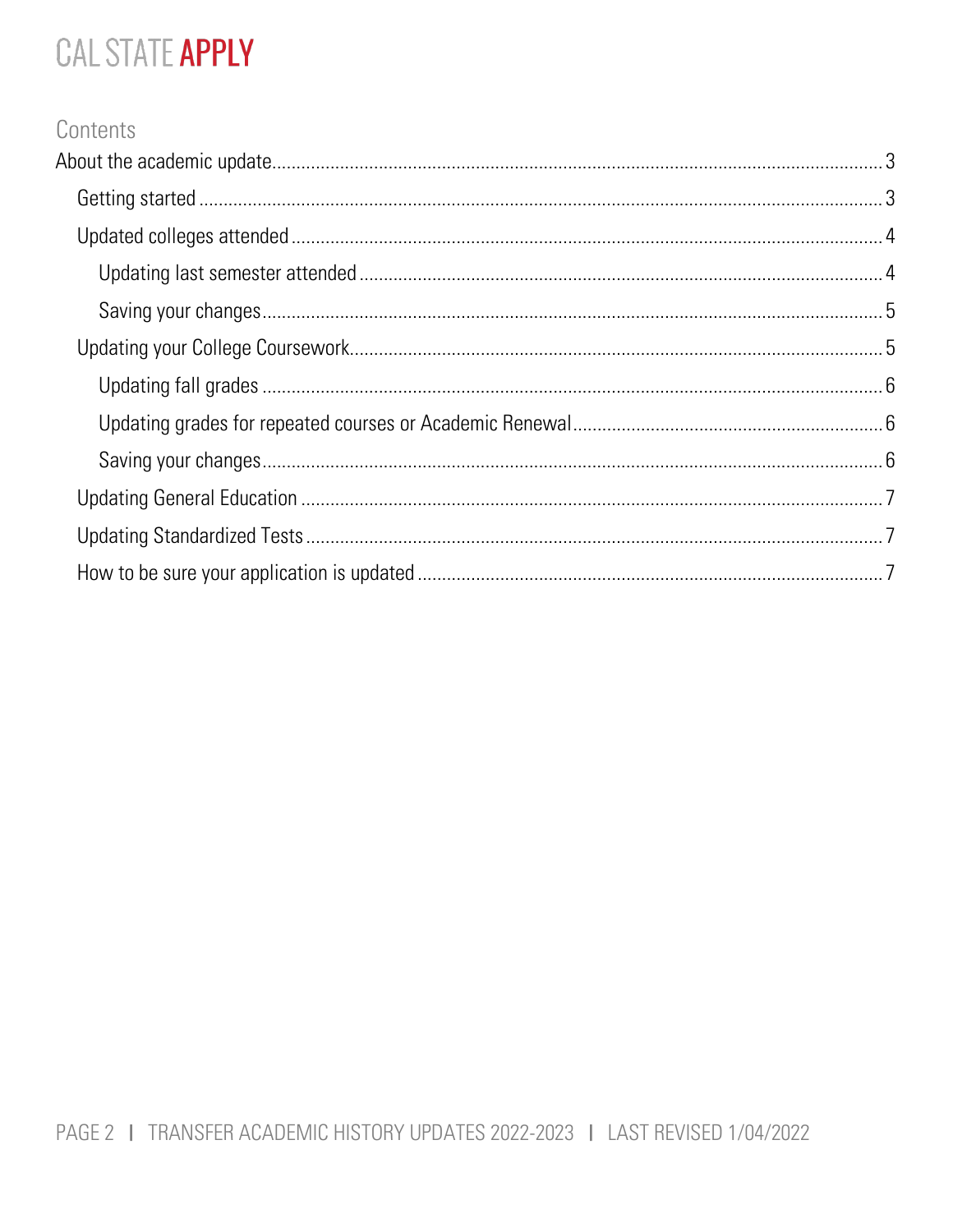## Contents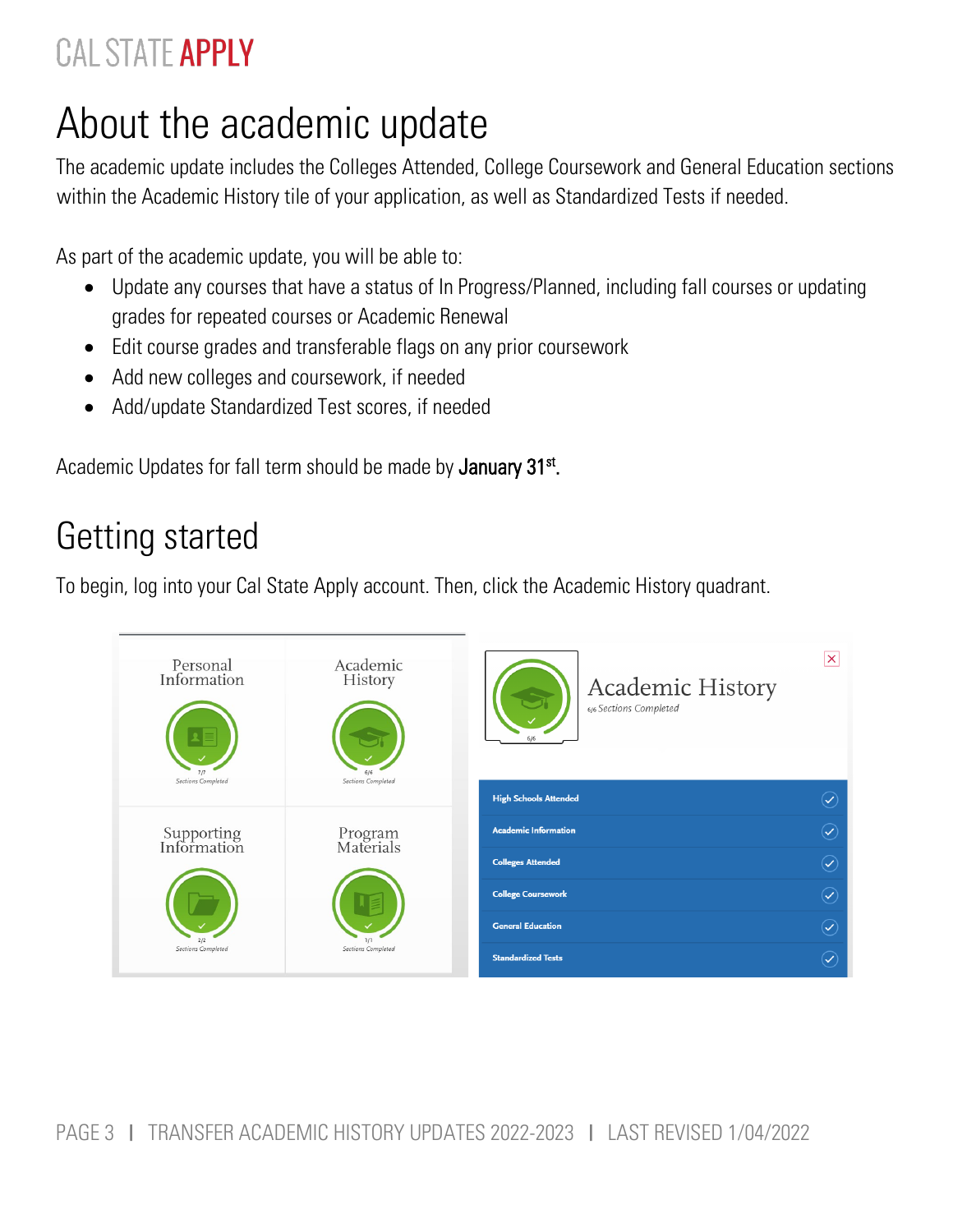# <span id="page-2-0"></span>About the academic update

The academic update includes the Colleges Attended, College Coursework and General Education sections within the Academic History tile of your application, as well as Standardized Tests if needed.

As part of the academic update, you will be able to:

- Update any courses that have a status of In Progress/Planned, including fall courses or updating grades for repeated courses or Academic Renewal
- Edit course grades and transferable flags on any prior coursework
- Add new colleges and coursework, if needed
- Add/update Standardized Test scores, if needed

Academic Updates for fall term should be made by January 31<sup>st</sup>.

## <span id="page-2-1"></span>Getting started

To begin, log into your Cal State Apply account. Then, click the Academic History quadrant.

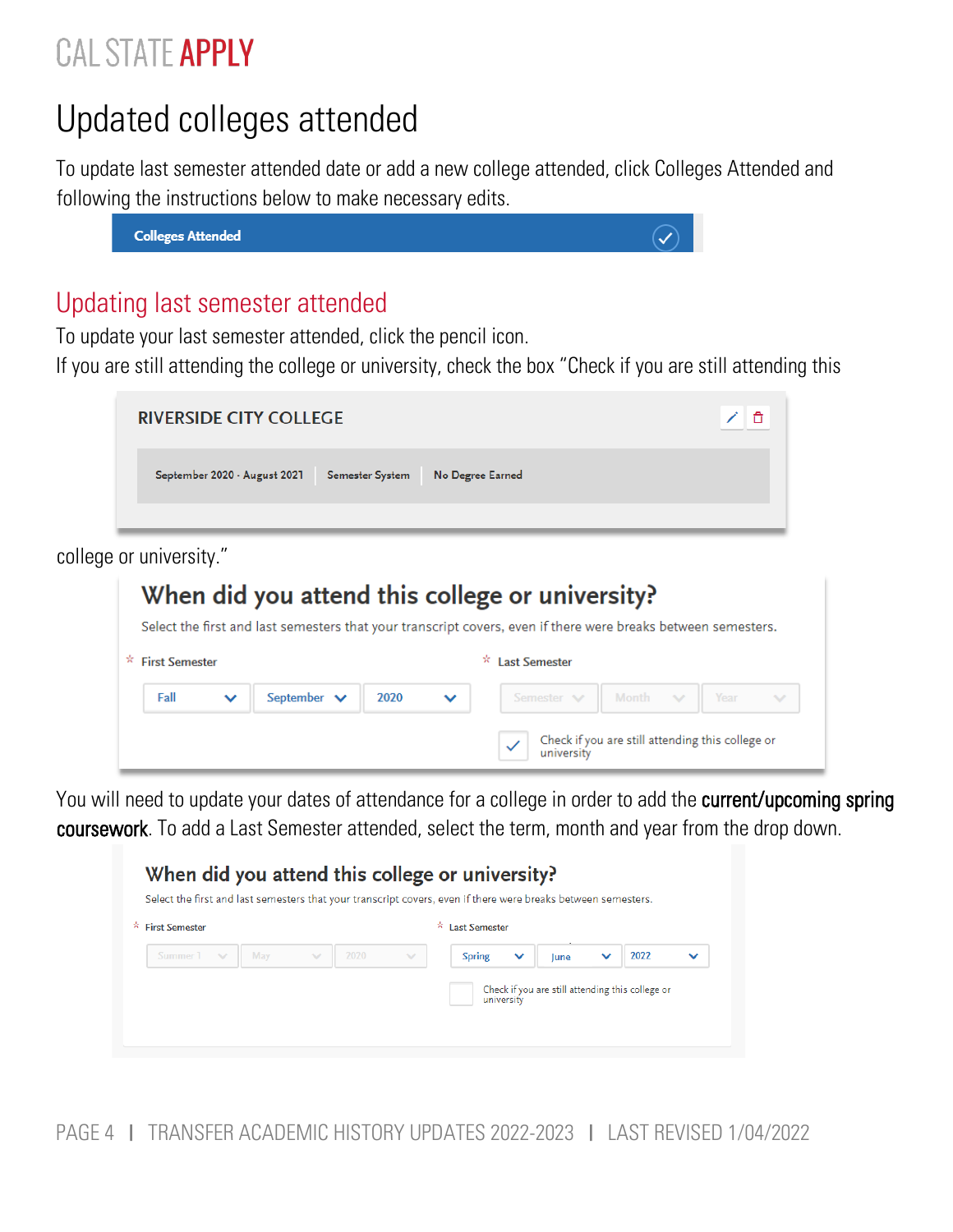## <span id="page-3-0"></span>Updated colleges attended

To update last semester attended date or add a new college attended, click Colleges Attended and following the instructions below to make necessary edits.



#### <span id="page-3-1"></span>Updating last semester attended

To update your last semester attended, click the pencil icon.

If you are still attending the college or university, check the box "Check if you are still attending this



college or university."



You will need to update your dates of attendance for a college in order to add the current/upcoming spring coursework. To add a Last Semester attended, select the term, month and year from the drop down.



PAGE 4 I TRANSFER ACADEMIC HISTORY UPDATES 2022-2023 I LAST REVISED 1/04/2022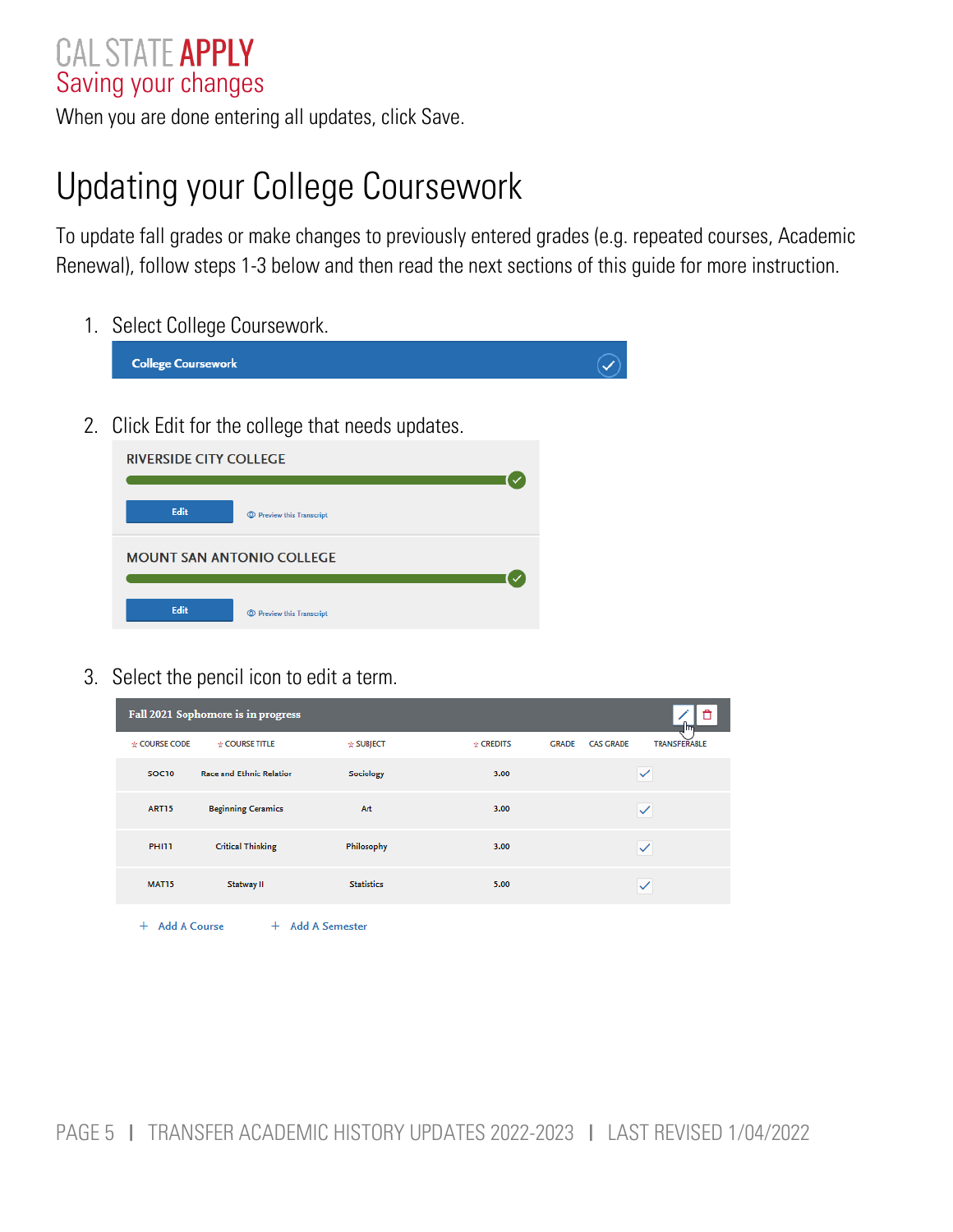#### <span id="page-4-0"></span>CAL STATE APPLY Saving your changes

When you are done entering all updates, click Save.

## <span id="page-4-1"></span>Updating your College Coursework

To update fall grades or make changes to previously entered grades (e.g. repeated courses, Academic Renewal), follow steps 1-3 below and then read the next sections of this guide for more instruction.

1. Select College Coursework.

| <b>College Coursework</b>                         |  |
|---------------------------------------------------|--|
| 2. Click Edit for the college that needs updates. |  |
| <b>RIVERSIDE CITY COLLEGE</b>                     |  |
| Edit<br><b>Exercise Preview this Transcript</b>   |  |
| <b>MOUNT SAN ANTONIO COLLEGE</b>                  |  |
| Edit<br><b>Exercise Preview this Transcript</b>   |  |

3. Select the pencil icon to edit a term.

| Fall 2021 Sophomore is in progress<br>lm       |                                 |                   |                |                                  |                     |  |  |  |
|------------------------------------------------|---------------------------------|-------------------|----------------|----------------------------------|---------------------|--|--|--|
| * COURSE CODE                                  | * COURSE TITLE                  | * SUBJECT         | $\div$ CREDITS | <b>GRADE</b><br><b>CAS GRADE</b> | <b>TRANSFERABLE</b> |  |  |  |
| <b>SOC10</b>                                   | <b>Race and Ethnic Relation</b> | Sociology         | 3.00           |                                  | $\checkmark$        |  |  |  |
| <b>ART15</b>                                   | <b>Beginning Ceramics</b>       | Art               | 3.00           |                                  | $\checkmark$        |  |  |  |
| PHI11                                          | <b>Critical Thinking</b>        | Philosophy        | 3.00           |                                  | $\checkmark$        |  |  |  |
| <b>MAT15</b>                                   | Statway II                      | <b>Statistics</b> | 5.00           |                                  | $\checkmark$        |  |  |  |
| <b>Add A Course</b><br>+ Add A Semester<br>$+$ |                                 |                   |                |                                  |                     |  |  |  |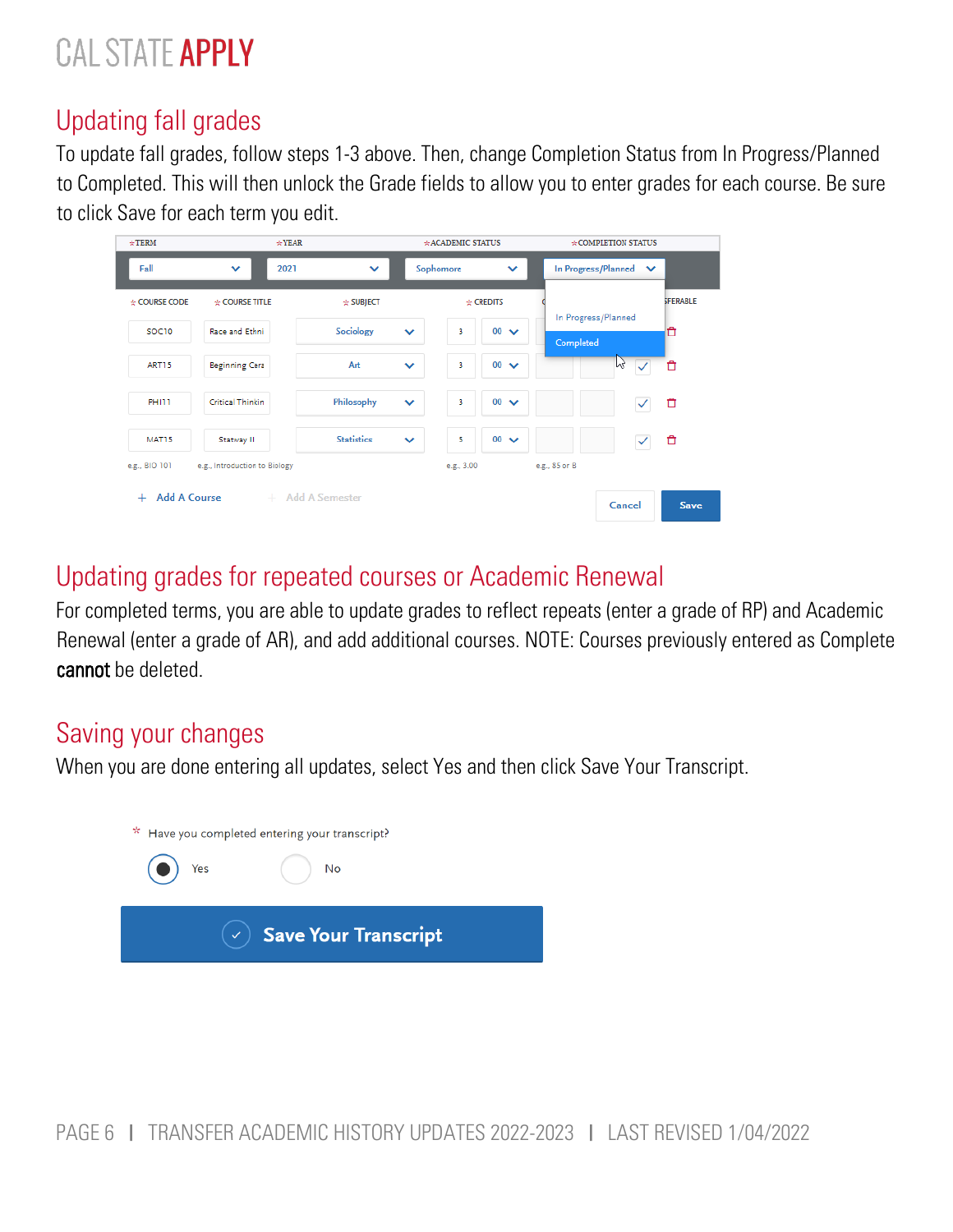### <span id="page-5-0"></span>Updating fall grades

To update fall grades, follow steps 1-3 above. Then, change Completion Status from In Progress/Planned to Completed. This will then unlock the Grade fields to allow you to enter grades for each course. Be sure to click Save for each term you edit.



#### <span id="page-5-1"></span>Updating grades for repeated courses or Academic Renewal

For completed terms, you are able to update grades to reflect repeats (enter a grade of RP) and Academic Renewal (enter a grade of AR), and add additional courses. NOTE: Courses previously entered as Complete cannot be deleted.

#### <span id="page-5-2"></span>Saving your changes

When you are done entering all updates, select Yes and then click Save Your Transcript.